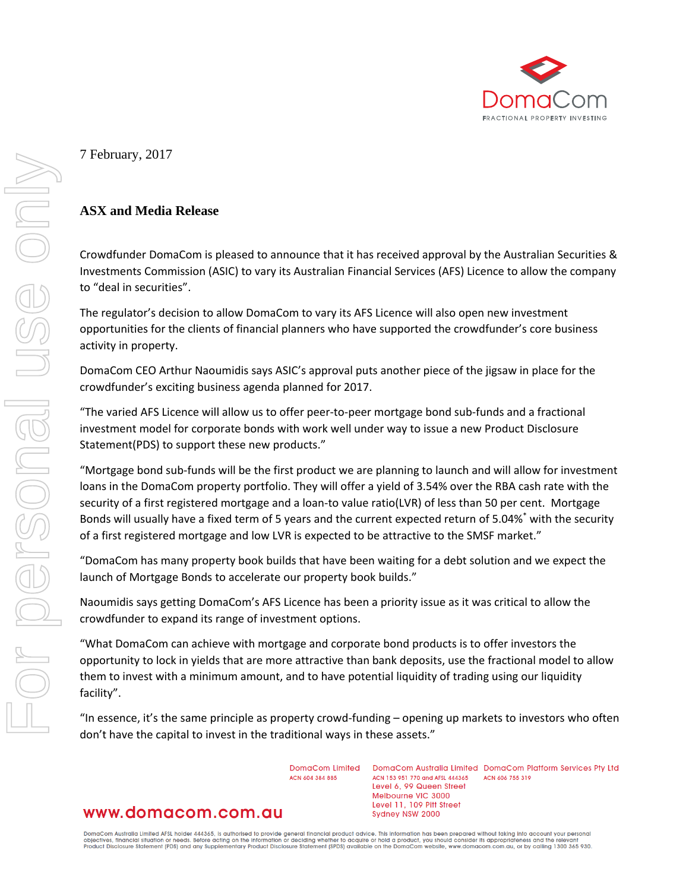

7 February, 2017

## **ASX and Media Release**

Crowdfunder DomaCom is pleased to announce that it has received approval by the Australian Securities & Investments Commission (ASIC) to vary its Australian Financial Services (AFS) Licence to allow the company to "deal in securities".

The regulator's decision to allow DomaCom to vary its AFS Licence will also open new investment opportunities for the clients of financial planners who have supported the crowdfunder's core business activity in property.

DomaCom CEO Arthur Naoumidis says ASIC's approval puts another piece of the jigsaw in place for the crowdfunder's exciting business agenda planned for 2017.

"The varied AFS Licence will allow us to offer peer-to-peer mortgage bond sub-funds and a fractional investment model for corporate bonds with work well under way to issue a new Product Disclosure Statement(PDS) to support these new products."

"Mortgage bond sub-funds will be the first product we are planning to launch and will allow for investment loans in the DomaCom property portfolio. They will offer a yield of 3.54% over the RBA cash rate with the security of a first registered mortgage and a loan-to value ratio(LVR) of less than 50 per cent. Mortgage Bonds will usually have a fixed term of 5 years and the current expected return of 5.04%\* with the security of a first registered mortgage and low LVR is expected to be attractive to the SMSF market."

"DomaCom has many property book builds that have been waiting for a debt solution and we expect the launch of Mortgage Bonds to accelerate our property book builds."

Naoumidis says getting DomaCom's AFS Licence has been a priority issue as it was critical to allow the crowdfunder to expand its range of investment options.

"What DomaCom can achieve with mortgage and corporate bond products is to offer investors the opportunity to lock in yields that are more attractive than bank deposits, use the fractional model to allow them to invest with a minimum amount, and to have potential liquidity of trading using our liquidity facility".

"In essence, it's the same principle as property crowd-funding – opening up markets to investors who often don't have the capital to invest in the traditional ways in these assets."

> DomaCom Limited ACN 604 384 885

DomaCom Australia Limited DomaCom Platform Services Pty Ltd ACN 153 951 770 and AFSL 444365 ACN 606 755 319 Level 6, 99 Queen Street Melbourne VIC 3000 Level 11, 109 Pitt Street Sydney NSW 2000

## www.domacom.com.au

DomaCom Australia Limited AFSL holder 444365, is authorised to provide general financial product advice. This information has been prepared without taking into account your personal<br>objectives, financial situation or needs